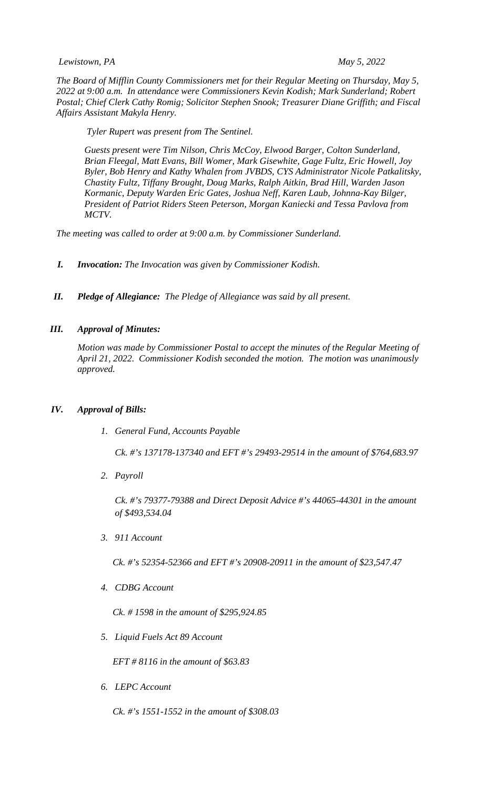*Lewistown, PA May 5, 2022*

*The Board of Mifflin County Commissioners met for their Regular Meeting on Thursday, May 5, 2022 at 9:00 a.m. In attendance were Commissioners Kevin Kodish; Mark Sunderland; Robert Postal; Chief Clerk Cathy Romig; Solicitor Stephen Snook; Treasurer Diane Griffith; and Fiscal Affairs Assistant Makyla Henry.* 

*Tyler Rupert was present from The Sentinel.* 

*Guests present were Tim Nilson, Chris McCoy, Elwood Barger, Colton Sunderland, Brian Fleegal, Matt Evans, Bill Womer, Mark Gisewhite, Gage Fultz, Eric Howell, Joy Byler, Bob Henry and Kathy Whalen from JVBDS, CYS Administrator Nicole Patkalitsky, Chastity Fultz, Tiffany Brought, Doug Marks, Ralph Aitkin, Brad Hill, Warden Jason Kormanic, Deputy Warden Eric Gates, Joshua Neff, Karen Laub, Johnna-Kay Bilger, President of Patriot Riders Steen Peterson, Morgan Kaniecki and Tessa Pavlova from MCTV.* 

*The meeting was called to order at 9:00 a.m. by Commissioner Sunderland.*

- *I. Invocation: The Invocation was given by Commissioner Kodish.*
- *II. Pledge of Allegiance: The Pledge of Allegiance was said by all present.*

## *III. Approval of Minutes:*

*Motion was made by Commissioner Postal to accept the minutes of the Regular Meeting of April 21, 2022. Commissioner Kodish seconded the motion. The motion was unanimously approved.* 

## *IV. Approval of Bills:*

*1. General Fund, Accounts Payable*

*Ck. #'s 137178-137340 and EFT #'s 29493-29514 in the amount of \$764,683.97*

*2. Payroll*

*Ck. #'s 79377-79388 and Direct Deposit Advice #'s 44065-44301 in the amount of \$493,534.04*

*3. 911 Account*

*Ck. #'s 52354-52366 and EFT #'s 20908-20911 in the amount of \$23,547.47*

*4. CDBG Account*

*Ck. # 1598 in the amount of \$295,924.85*

*5. Liquid Fuels Act 89 Account*

*EFT # 8116 in the amount of \$63.83*

*6. LEPC Account*

*Ck. #'s 1551-1552 in the amount of \$308.03*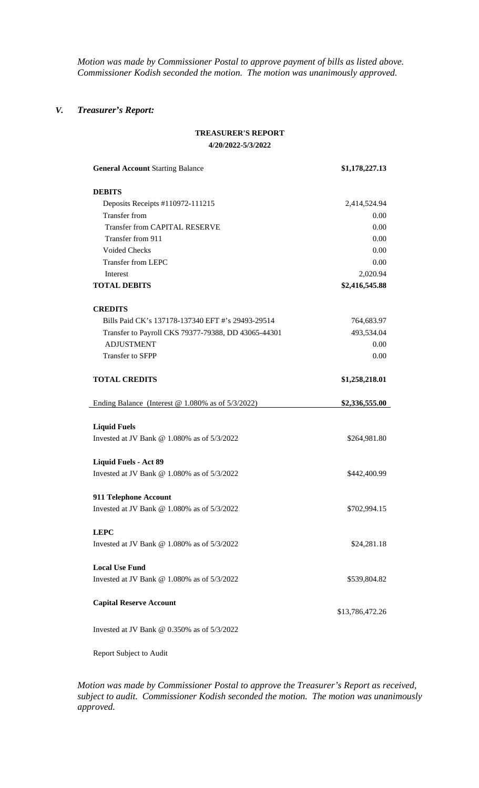*Motion was made by Commissioner Postal to approve payment of bills as listed above. Commissioner Kodish seconded the motion. The motion was unanimously approved.*

## *V. Treasurer's Report:*

## **TREASURER'S REPORT 4/20/2022-5/3/2022**

| <b>General Account Starting Balance</b>                                | \$1,178,227.13  |
|------------------------------------------------------------------------|-----------------|
| <b>DEBITS</b>                                                          |                 |
| Deposits Receipts #110972-111215                                       | 2,414,524.94    |
| <b>Transfer from</b>                                                   | 0.00            |
| <b>Transfer from CAPITAL RESERVE</b>                                   | 0.00            |
| Transfer from 911                                                      | 0.00            |
| <b>Voided Checks</b>                                                   | 0.00            |
| <b>Transfer from LEPC</b>                                              | 0.00            |
| Interest                                                               | 2,020.94        |
| <b>TOTAL DEBITS</b>                                                    | \$2,416,545.88  |
| <b>CREDITS</b>                                                         |                 |
| Bills Paid CK's 137178-137340 EFT #'s 29493-29514                      | 764,683.97      |
| Transfer to Payroll CKS 79377-79388, DD 43065-44301                    | 493,534.04      |
| <b>ADJUSTMENT</b>                                                      | 0.00            |
| Transfer to SFPP                                                       | 0.00            |
| <b>TOTAL CREDITS</b>                                                   | \$1,258,218.01  |
| Ending Balance (Interest $@$ 1.080% as of 5/3/2022)                    | \$2,336,555.00  |
| <b>Liquid Fuels</b><br>Invested at JV Bank $@$ 1.080% as of $5/3/2022$ | \$264,981.80    |
|                                                                        |                 |
| <b>Liquid Fuels - Act 89</b>                                           |                 |
| Invested at JV Bank $@$ 1.080% as of $5/3/2022$                        | \$442,400.99    |
| 911 Telephone Account                                                  |                 |
| Invested at JV Bank $@$ 1.080% as of $5/3/2022$                        | \$702,994.15    |
| <b>LEPC</b>                                                            |                 |
| Invested at JV Bank @ 1.080\% as of $5/3/2022$                         | \$24,281.18     |
| <b>Local Use Fund</b>                                                  |                 |
| Invested at JV Bank $\omega$ 1.080% as of 5/3/2022                     | \$539,804.82    |
| <b>Capital Reserve Account</b>                                         | \$13,786,472.26 |
| Invested at JV Bank $\omega$ 0.350% as of 5/3/2022                     |                 |

Report Subject to Audit

*Motion was made by Commissioner Postal to approve the Treasurer's Report as received, subject to audit. Commissioner Kodish seconded the motion. The motion was unanimously approved.*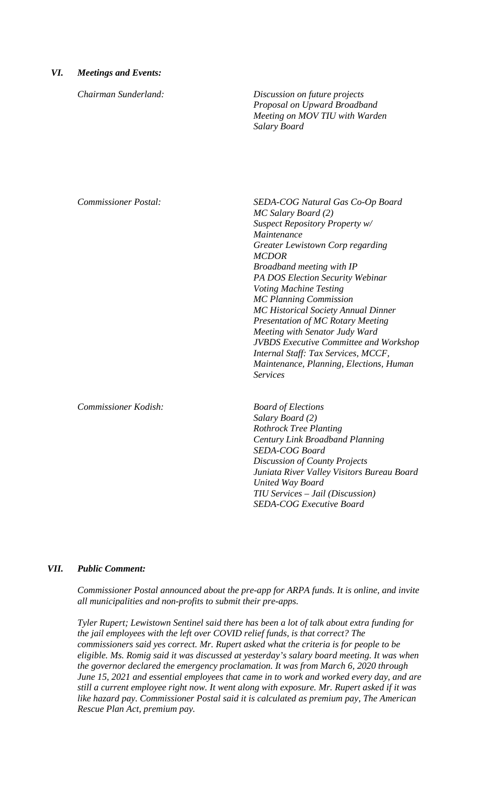## *VI. Meetings and Events:*

*Chairman Sunderland: Discussion on future projects Proposal on Upward Broadband Meeting on MOV TIU with Warden Salary Board*

*Commissioner Postal: SEDA-COG Natural Gas Co-Op Board MC Salary Board (2) Suspect Repository Property w/ Maintenance Greater Lewistown Corp regarding MCDOR Broadband meeting with IP PA DOS Election Security Webinar Voting Machine Testing MC Planning Commission MC Historical Society Annual Dinner Presentation of MC Rotary Meeting Meeting with Senator Judy Ward JVBDS Executive Committee and Workshop Internal Staff: Tax Services, MCCF, Maintenance, Planning, Elections, Human Services*

*Commissioner Kodish: Board of Elections*

*Salary Board (2) Rothrock Tree Planting Century Link Broadband Planning SEDA-COG Board Discussion of County Projects Juniata River Valley Visitors Bureau Board United Way Board TIU Services – Jail (Discussion) SEDA-COG Executive Board*

### *VII. Public Comment:*

*Commissioner Postal announced about the pre-app for ARPA funds. It is online, and invite all municipalities and non-profits to submit their pre-apps.* 

*Tyler Rupert; Lewistown Sentinel said there has been a lot of talk about extra funding for the jail employees with the left over COVID relief funds, is that correct? The commissioners said yes correct. Mr. Rupert asked what the criteria is for people to be eligible. Ms. Romig said it was discussed at yesterday's salary board meeting. It was when the governor declared the emergency proclamation. It was from March 6, 2020 through June 15, 2021 and essential employees that came in to work and worked every day, and are still a current employee right now. It went along with exposure. Mr. Rupert asked if it was like hazard pay. Commissioner Postal said it is calculated as premium pay, The American Rescue Plan Act, premium pay.*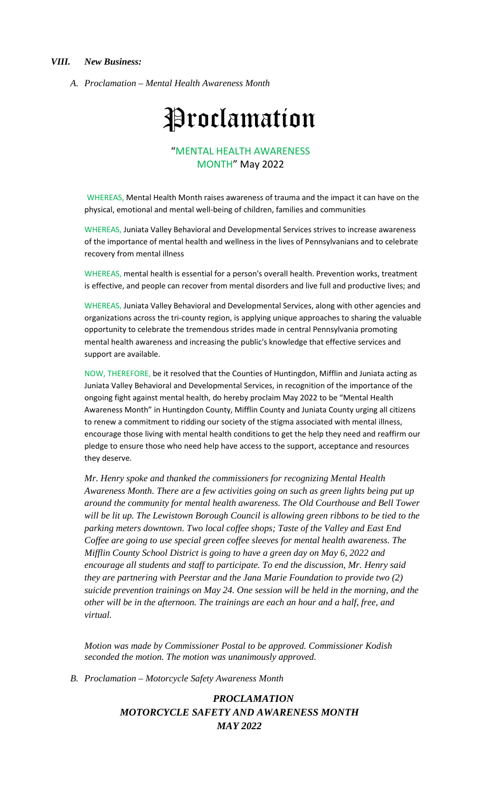*A. Proclamation – Mental Health Awareness Month*

# **Proclamation**

# "MENTAL HEALTH AWARENESS MONTH" May 2022

WHEREAS, Mental Health Month raises awareness of trauma and the impact it can have on the physical, emotional and mental well-being of children, families and communities

WHEREAS, Juniata Valley Behavioral and Developmental Services strives to increase awareness of the importance of mental health and wellness in the lives of Pennsylvanians and to celebrate recovery from mental illness

WHEREAS, mental health is essential for a person's overall health. Prevention works, treatment is effective, and people can recover from mental disorders and live full and productive lives; and

WHEREAS, Juniata Valley Behavioral and Developmental Services, along with other agencies and organizations across the tri-county region, is applying unique approaches to sharing the valuable opportunity to celebrate the tremendous strides made in central Pennsylvania promoting mental health awareness and increasing the public's knowledge that effective services and support are available.

NOW, THEREFORE, be it resolved that the Counties of Huntingdon, Mifflin and Juniata acting as Juniata Valley Behavioral and Developmental Services, in recognition of the importance of the ongoing fight against mental health, do hereby proclaim May 2022 to be "Mental Health Awareness Month" in Huntingdon County, Mifflin County and Juniata County urging all citizens to renew a commitment to ridding our society of the stigma associated with mental illness, encourage those living with mental health conditions to get the help they need and reaffirm our pledge to ensure those who need help have access to the support, acceptance and resources they deserve.

*Mr. Henry spoke and thanked the commissioners for recognizing Mental Health Awareness Month. There are a few activities going on such as green lights being put up around the community for mental health awareness. The Old Courthouse and Bell Tower*  will be lit up. The Lewistown Borough Council is allowing green ribbons to be tied to the *parking meters downtown. Two local coffee shops; Taste of the Valley and East End Coffee are going to use special green coffee sleeves for mental health awareness. The Mifflin County School District is going to have a green day on May 6, 2022 and encourage all students and staff to participate. To end the discussion, Mr. Henry said they are partnering with Peerstar and the Jana Marie Foundation to provide two (2) suicide prevention trainings on May 24. One session will be held in the morning, and the other will be in the afternoon. The trainings are each an hour and a half, free, and virtual.* 

*Motion was made by Commissioner Postal to be approved. Commissioner Kodish seconded the motion. The motion was unanimously approved.* 

*B. Proclamation – Motorcycle Safety Awareness Month*

# *PROCLAMATION MOTORCYCLE SAFETY AND AWARENESS MONTH MAY 2022*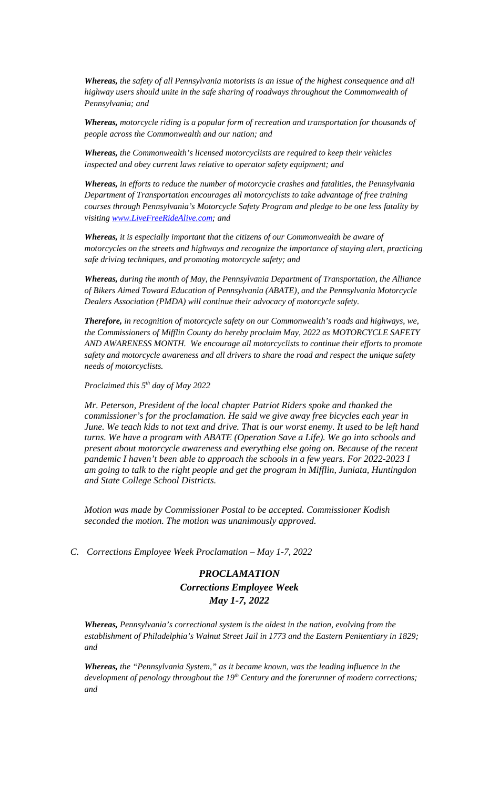*Whereas, the safety of all Pennsylvania motorists is an issue of the highest consequence and all highway users should unite in the safe sharing of roadways throughout the Commonwealth of Pennsylvania; and*

*Whereas, motorcycle riding is a popular form of recreation and transportation for thousands of people across the Commonwealth and our nation; and*

*Whereas, the Commonwealth's licensed motorcyclists are required to keep their vehicles inspected and obey current laws relative to operator safety equipment; and*

*Whereas, in efforts to reduce the number of motorcycle crashes and fatalities, the Pennsylvania Department of Transportation encourages all motorcyclists to take advantage of free training courses through Pennsylvania's Motorcycle Safety Program and pledge to be one less fatality by visiting [www.LiveFreeRideAlive.com;](http://www.livefreeridealive.com/) and*

*Whereas, it is especially important that the citizens of our Commonwealth be aware of motorcycles on the streets and highways and recognize the importance of staying alert, practicing safe driving techniques, and promoting motorcycle safety; and*

*Whereas, during the month of May, the Pennsylvania Department of Transportation, the Alliance of Bikers Aimed Toward Education of Pennsylvania (ABATE), and the Pennsylvania Motorcycle Dealers Association (PMDA) will continue their advocacy of motorcycle safety.* 

*Therefore, in recognition of motorcycle safety on our Commonwealth's roads and highways, we, the Commissioners of Mifflin County do hereby proclaim May, 2022 as MOTORCYCLE SAFETY AND AWARENESS MONTH. We encourage all motorcyclists to continue their efforts to promote safety and motorcycle awareness and all drivers to share the road and respect the unique safety needs of motorcyclists.*

*Proclaimed this 5th day of May 2022*

*Mr. Peterson, President of the local chapter Patriot Riders spoke and thanked the commissioner's for the proclamation. He said we give away free bicycles each year in June. We teach kids to not text and drive. That is our worst enemy. It used to be left hand turns. We have a program with ABATE (Operation Save a Life). We go into schools and present about motorcycle awareness and everything else going on. Because of the recent pandemic I haven't been able to approach the schools in a few years. For 2022-2023 I am going to talk to the right people and get the program in Mifflin, Juniata, Huntingdon and State College School Districts.* 

*Motion was made by Commissioner Postal to be accepted. Commissioner Kodish seconded the motion. The motion was unanimously approved.* 

*C. Corrections Employee Week Proclamation – May 1-7, 2022*

# *PROCLAMATION Corrections Employee Week May 1-7, 2022*

*Whereas, Pennsylvania's correctional system is the oldest in the nation, evolving from the establishment of Philadelphia's Walnut Street Jail in 1773 and the Eastern Penitentiary in 1829; and*

*Whereas, the "Pennsylvania System," as it became known, was the leading influence in the development of penology throughout the 19th Century and the forerunner of modern corrections; and*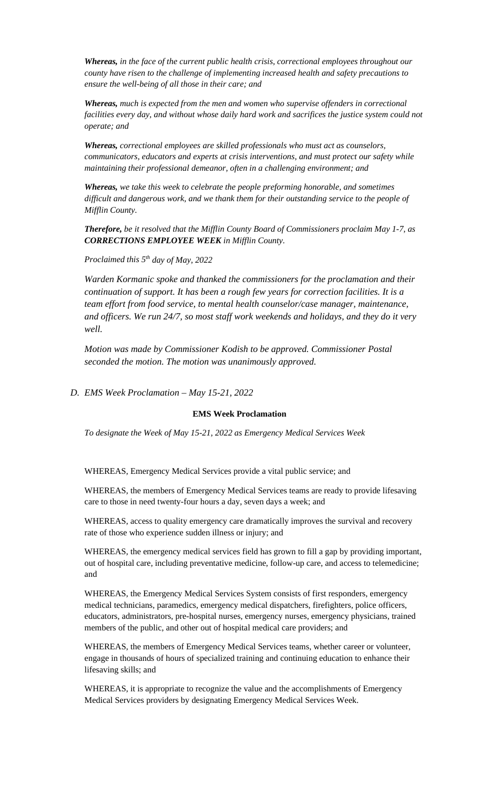*Whereas, in the face of the current public health crisis, correctional employees throughout our county have risen to the challenge of implementing increased health and safety precautions to ensure the well-being of all those in their care; and*

*Whereas, much is expected from the men and women who supervise offenders in correctional facilities every day, and without whose daily hard work and sacrifices the justice system could not operate; and* 

*Whereas, correctional employees are skilled professionals who must act as counselors, communicators, educators and experts at crisis interventions, and must protect our safety while maintaining their professional demeanor, often in a challenging environment; and*

*Whereas, we take this week to celebrate the people preforming honorable, and sometimes difficult and dangerous work, and we thank them for their outstanding service to the people of Mifflin County.*

*Therefore, be it resolved that the Mifflin County Board of Commissioners proclaim May 1-7, as CORRECTIONS EMPLOYEE WEEK in Mifflin County.* 

*Proclaimed this 5th day of May, 2022*

*Warden Kormanic spoke and thanked the commissioners for the proclamation and their continuation of support. It has been a rough few years for correction facilities. It is a team effort from food service, to mental health counselor/case manager, maintenance, and officers. We run 24/7, so most staff work weekends and holidays, and they do it very well.* 

*Motion was made by Commissioner Kodish to be approved. Commissioner Postal seconded the motion. The motion was unanimously approved.* 

## *D. EMS Week Proclamation – May 15-21, 2022*

#### **EMS Week Proclamation**

*To designate the Week of May 15-21, 2022 as Emergency Medical Services Week*

WHEREAS, Emergency Medical Services provide a vital public service; and

WHEREAS, the members of Emergency Medical Services teams are ready to provide lifesaving care to those in need twenty-four hours a day, seven days a week; and

WHEREAS, access to quality emergency care dramatically improves the survival and recovery rate of those who experience sudden illness or injury; and

WHEREAS, the emergency medical services field has grown to fill a gap by providing important, out of hospital care, including preventative medicine, follow-up care, and access to telemedicine; and

WHEREAS, the Emergency Medical Services System consists of first responders, emergency medical technicians, paramedics, emergency medical dispatchers, firefighters, police officers, educators, administrators, pre-hospital nurses, emergency nurses, emergency physicians, trained members of the public, and other out of hospital medical care providers; and

WHEREAS, the members of Emergency Medical Services teams, whether career or volunteer, engage in thousands of hours of specialized training and continuing education to enhance their lifesaving skills; and

WHEREAS, it is appropriate to recognize the value and the accomplishments of Emergency Medical Services providers by designating Emergency Medical Services Week.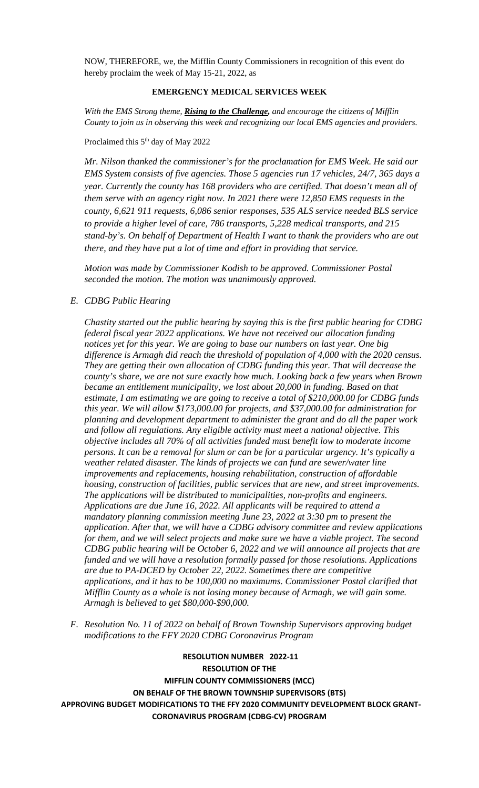NOW, THEREFORE, we, the Mifflin County Commissioners in recognition of this event do hereby proclaim the week of May 15-21, 2022, as

## **EMERGENCY MEDICAL SERVICES WEEK**

*With the EMS Strong theme, Rising to the Challenge, and encourage the citizens of Mifflin County to join us in observing this week and recognizing our local EMS agencies and providers.*

### Proclaimed this 5<sup>th</sup> day of May 2022

*Mr. Nilson thanked the commissioner's for the proclamation for EMS Week. He said our EMS System consists of five agencies. Those 5 agencies run 17 vehicles, 24/7, 365 days a year. Currently the county has 168 providers who are certified. That doesn't mean all of them serve with an agency right now. In 2021 there were 12,850 EMS requests in the county, 6,621 911 requests, 6,086 senior responses, 535 ALS service needed BLS service to provide a higher level of care, 786 transports, 5,228 medical transports, and 215 stand-by's. On behalf of Department of Health I want to thank the providers who are out there, and they have put a lot of time and effort in providing that service.* 

*Motion was made by Commissioner Kodish to be approved. Commissioner Postal seconded the motion. The motion was unanimously approved.* 

## *E. CDBG Public Hearing*

*Chastity started out the public hearing by saying this is the first public hearing for CDBG federal fiscal year 2022 applications. We have not received our allocation funding notices yet for this year. We are going to base our numbers on last year. One big difference is Armagh did reach the threshold of population of 4,000 with the 2020 census. They are getting their own allocation of CDBG funding this year. That will decrease the county's share, we are not sure exactly how much. Looking back a few years when Brown became an entitlement municipality, we lost about 20,000 in funding. Based on that estimate, I am estimating we are going to receive a total of \$210,000.00 for CDBG funds this year. We will allow \$173,000.00 for projects, and \$37,000.00 for administration for planning and development department to administer the grant and do all the paper work and follow all regulations. Any eligible activity must meet a national objective. This objective includes all 70% of all activities funded must benefit low to moderate income persons. It can be a removal for slum or can be for a particular urgency. It's typically a weather related disaster. The kinds of projects we can fund are sewer/water line improvements and replacements, housing rehabilitation, construction of affordable housing, construction of facilities, public services that are new, and street improvements. The applications will be distributed to municipalities, non-profits and engineers. Applications are due June 16, 2022. All applicants will be required to attend a mandatory planning commission meeting June 23, 2022 at 3:30 pm to present the application. After that, we will have a CDBG advisory committee and review applications for them, and we will select projects and make sure we have a viable project. The second CDBG public hearing will be October 6, 2022 and we will announce all projects that are funded and we will have a resolution formally passed for those resolutions. Applications are due to PA-DCED by October 22, 2022. Sometimes there are competitive applications, and it has to be 100,000 no maximums. Commissioner Postal clarified that Mifflin County as a whole is not losing money because of Armagh, we will gain some. Armagh is believed to get \$80,000-\$90,000.* 

*F. Resolution No. 11 of 2022 on behalf of Brown Township Supervisors approving budget modifications to the FFY 2020 CDBG Coronavirus Program* 

**RESOLUTION NUMBER 2022-11 RESOLUTION OF THE MIFFLIN COUNTY COMMISSIONERS (MCC) ON BEHALF OF THE BROWN TOWNSHIP SUPERVISORS (BTS) APPROVING BUDGET MODIFICATIONS TO THE FFY 2020 COMMUNITY DEVELOPMENT BLOCK GRANT-CORONAVIRUS PROGRAM (CDBG-CV) PROGRAM**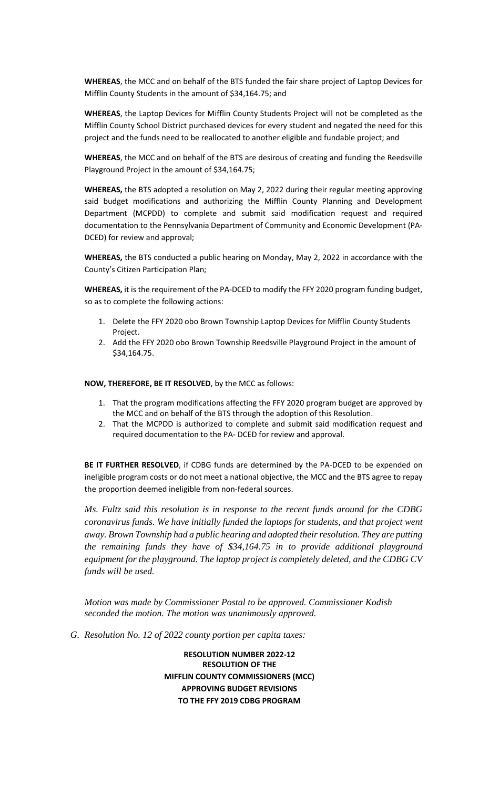**WHEREAS**, the MCC and on behalf of the BTS funded the fair share project of Laptop Devices for Mifflin County Students in the amount of \$34,164.75; and

**WHEREAS**, the Laptop Devices for Mifflin County Students Project will not be completed as the Mifflin County School District purchased devices for every student and negated the need for this project and the funds need to be reallocated to another eligible and fundable project; and

**WHEREAS**, the MCC and on behalf of the BTS are desirous of creating and funding the Reedsville Playground Project in the amount of \$34,164.75;

**WHEREAS,** the BTS adopted a resolution on May 2, 2022 during their regular meeting approving said budget modifications and authorizing the Mifflin County Planning and Development Department (MCPDD) to complete and submit said modification request and required documentation to the Pennsylvania Department of Community and Economic Development (PA-DCED) for review and approval;

**WHEREAS,** the BTS conducted a public hearing on Monday, May 2, 2022 in accordance with the County's Citizen Participation Plan;

**WHEREAS,** it is the requirement of the PA-DCED to modify the FFY 2020 program funding budget, so as to complete the following actions:

- 1. Delete the FFY 2020 obo Brown Township Laptop Devices for Mifflin County Students Project.
- 2. Add the FFY 2020 obo Brown Township Reedsville Playground Project in the amount of \$34,164.75.

**NOW, THEREFORE, BE IT RESOLVED**, by the MCC as follows:

- 1. That the program modifications affecting the FFY 2020 program budget are approved by the MCC and on behalf of the BTS through the adoption of this Resolution.
- 2. That the MCPDD is authorized to complete and submit said modification request and required documentation to the PA- DCED for review and approval.

**BE IT FURTHER RESOLVED**, if CDBG funds are determined by the PA-DCED to be expended on ineligible program costs or do not meet a national objective, the MCC and the BTS agree to repay the proportion deemed ineligible from non-federal sources.

*Ms. Fultz said this resolution is in response to the recent funds around for the CDBG coronavirus funds. We have initially funded the laptops for students, and that project went away. Brown Township had a public hearing and adopted their resolution. They are putting the remaining funds they have of \$34,164.75 in to provide additional playground equipment for the playground. The laptop project is completely deleted, and the CDBG CV funds will be used.* 

*Motion was made by Commissioner Postal to be approved. Commissioner Kodish seconded the motion. The motion was unanimously approved.* 

*G. Resolution No. 12 of 2022 county portion per capita taxes:*

**RESOLUTION NUMBER 2022-12 RESOLUTION OF THE MIFFLIN COUNTY COMMISSIONERS (MCC) APPROVING BUDGET REVISIONS TO THE FFY 2019 CDBG PROGRAM**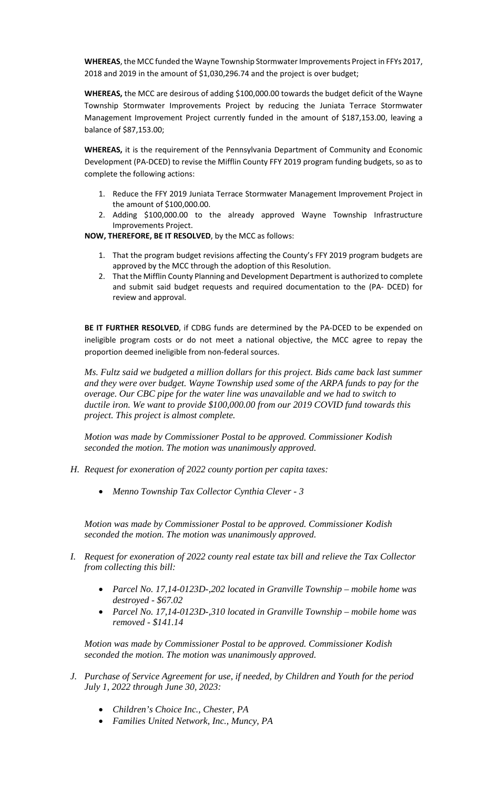WHEREAS, the MCC funded the Wayne Township Stormwater Improvements Project in FFYs 2017, 2018 and 2019 in the amount of \$1,030,296.74 and the project is over budget;

**WHEREAS,** the MCC are desirous of adding \$100,000.00 towards the budget deficit of the Wayne Township Stormwater Improvements Project by reducing the Juniata Terrace Stormwater Management Improvement Project currently funded in the amount of \$187,153.00, leaving a balance of \$87,153.00;

**WHEREAS,** it is the requirement of the Pennsylvania Department of Community and Economic Development (PA-DCED) to revise the Mifflin County FFY 2019 program funding budgets, so as to complete the following actions:

- 1. Reduce the FFY 2019 Juniata Terrace Stormwater Management Improvement Project in the amount of \$100,000.00.
- 2. Adding \$100,000.00 to the already approved Wayne Township Infrastructure Improvements Project.

**NOW, THEREFORE, BE IT RESOLVED**, by the MCC as follows:

- 1. That the program budget revisions affecting the County's FFY 2019 program budgets are approved by the MCC through the adoption of this Resolution.
- 2. That the Mifflin County Planning and Development Department is authorized to complete and submit said budget requests and required documentation to the (PA- DCED) for review and approval.

**BE IT FURTHER RESOLVED**, if CDBG funds are determined by the PA-DCED to be expended on ineligible program costs or do not meet a national objective, the MCC agree to repay the proportion deemed ineligible from non-federal sources.

*Ms. Fultz said we budgeted a million dollars for this project. Bids came back last summer and they were over budget. Wayne Township used some of the ARPA funds to pay for the overage. Our CBC pipe for the water line was unavailable and we had to switch to ductile iron. We want to provide \$100,000.00 from our 2019 COVID fund towards this project. This project is almost complete.* 

*Motion was made by Commissioner Postal to be approved. Commissioner Kodish seconded the motion. The motion was unanimously approved.* 

- *H. Request for exoneration of 2022 county portion per capita taxes:*
	- *Menno Township Tax Collector Cynthia Clever - 3*

*Motion was made by Commissioner Postal to be approved. Commissioner Kodish seconded the motion. The motion was unanimously approved.* 

- *I. Request for exoneration of 2022 county real estate tax bill and relieve the Tax Collector from collecting this bill:* 
	- *Parcel No. 17,14-0123D-,202 located in Granville Township – mobile home was destroyed - \$67.02*
	- *Parcel No. 17,14-0123D-,310 located in Granville Township – mobile home was removed - \$141.14*

*Motion was made by Commissioner Postal to be approved. Commissioner Kodish seconded the motion. The motion was unanimously approved.* 

- *J. Purchase of Service Agreement for use, if needed, by Children and Youth for the period July 1, 2022 through June 30, 2023:*
	- *Children's Choice Inc., Chester, PA*
	- *Families United Network, Inc., Muncy, PA*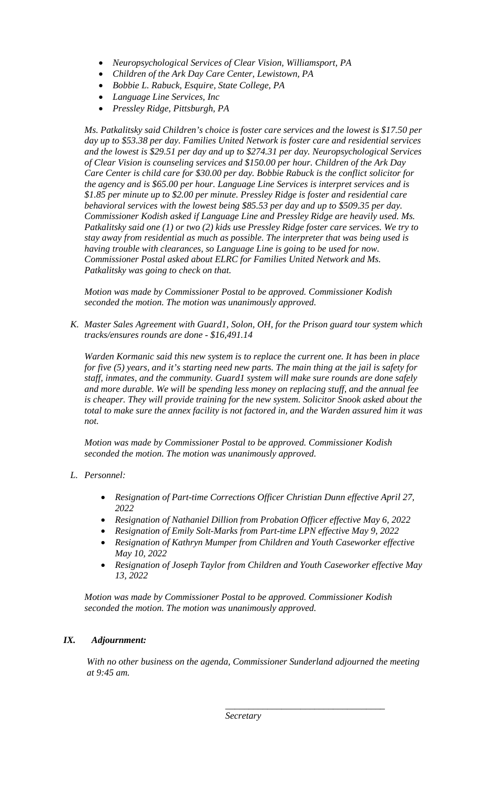- *Neuropsychological Services of Clear Vision, Williamsport, PA*
- *Children of the Ark Day Care Center, Lewistown, PA*
- *Bobbie L. Rabuck, Esquire, State College, PA*
- *Language Line Services, Inc*
- *Pressley Ridge, Pittsburgh, PA*

*Ms. Patkalitsky said Children's choice is foster care services and the lowest is \$17.50 per day up to \$53.38 per day. Families United Network is foster care and residential services and the lowest is \$29.51 per day and up to \$274.31 per day. Neuropsychological Services of Clear Vision is counseling services and \$150.00 per hour. Children of the Ark Day Care Center is child care for \$30.00 per day. Bobbie Rabuck is the conflict solicitor for the agency and is \$65.00 per hour. Language Line Services is interpret services and is \$1.85 per minute up to \$2.00 per minute. Pressley Ridge is foster and residential care behavioral services with the lowest being \$85.53 per day and up to \$509.35 per day. Commissioner Kodish asked if Language Line and Pressley Ridge are heavily used. Ms. Patkalitsky said one (1) or two (2) kids use Pressley Ridge foster care services. We try to stay away from residential as much as possible. The interpreter that was being used is having trouble with clearances, so Language Line is going to be used for now. Commissioner Postal asked about ELRC for Families United Network and Ms. Patkalitsky was going to check on that.* 

*Motion was made by Commissioner Postal to be approved. Commissioner Kodish seconded the motion. The motion was unanimously approved.* 

*K. Master Sales Agreement with Guard1, Solon, OH, for the Prison guard tour system which tracks/ensures rounds are done - \$16,491.14*

*Warden Kormanic said this new system is to replace the current one. It has been in place for five (5) years, and it's starting need new parts. The main thing at the jail is safety for staff, inmates, and the community. Guard1 system will make sure rounds are done safely and more durable. We will be spending less money on replacing stuff, and the annual fee is cheaper. They will provide training for the new system. Solicitor Snook asked about the total to make sure the annex facility is not factored in, and the Warden assured him it was not.* 

*Motion was made by Commissioner Postal to be approved. Commissioner Kodish seconded the motion. The motion was unanimously approved.* 

# *L. Personnel:*

- *Resignation of Part-time Corrections Officer Christian Dunn effective April 27, 2022*
- *Resignation of Nathaniel Dillion from Probation Officer effective May 6, 2022*
- *Resignation of Emily Solt-Marks from Part-time LPN effective May 9, 2022*
- *Resignation of Kathryn Mumper from Children and Youth Caseworker effective May 10, 2022*
- *Resignation of Joseph Taylor from Children and Youth Caseworker effective May 13, 2022*

*Motion was made by Commissioner Postal to be approved. Commissioner Kodish seconded the motion. The motion was unanimously approved.* 

# *IX. Adjournment:*

*With no other business on the agenda, Commissioner Sunderland adjourned the meeting at 9:45 am.*

*\_\_\_\_\_\_\_\_\_\_\_\_\_\_\_\_\_\_\_\_\_\_\_\_\_\_\_\_\_\_\_\_\_\_*

*Secretary*